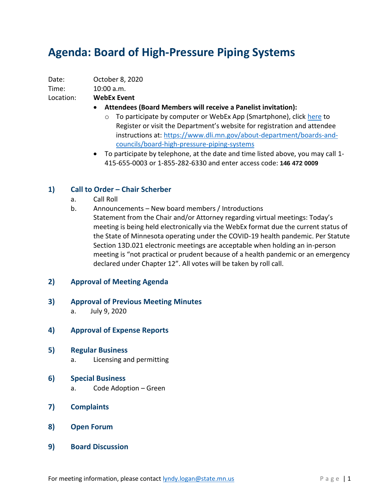# **Agenda: Board of High-Pressure Piping Systems**

Date: October 8, 2020

## Time: 10:00 a.m.

Location: **WebEx Event**

- **Attendees (Board Members will receive a Panelist invitation):**
	- o To participate by computer or WebEx App (Smartphone), click [here](https://minnesota.webex.com/minnesota/onstage/g.php?MTID=ef4bc12ea80682fce8f82c565fe1a403c) to Register or visit the Department's website for registration and attendee instructions at: [https://www.dli.mn.gov/about-department/boards-and](https://www.dli.mn.gov/about-department/boards-and-councils/board-high-pressure-piping-systems)[councils/board-high-pressure-piping-systems](https://www.dli.mn.gov/about-department/boards-and-councils/board-high-pressure-piping-systems)
- To participate by telephone, at the date and time listed above, you may call 1- 415-655-0003 or 1-855-282-6330 and enter access code: **146 472 0009**

### **1) Call to Order – Chair Scherber**

- a. Call Roll
- b. Announcements New board members / Introductions
	- Statement from the Chair and/or Attorney regarding virtual meetings: Today's meeting is being held electronically via the WebEx format due the current status of the State of Minnesota operating under the COVID-19 health pandemic. Per Statute Section 13D.021 electronic meetings are acceptable when holding an in-person meeting is "not practical or prudent because of a health pandemic or an emergency declared under Chapter 12". All votes will be taken by roll call.

### **2) Approval of Meeting Agenda**

- **3) Approval of Previous Meeting Minutes**
	- a. July 9, 2020
- **4) Approval of Expense Reports**
- **5) Regular Business**
	- a. Licensing and permitting
- **6) Special Business**
	- a. Code Adoption Green
- **7) Complaints**
- **8) Open Forum**
- **9) Board Discussion**